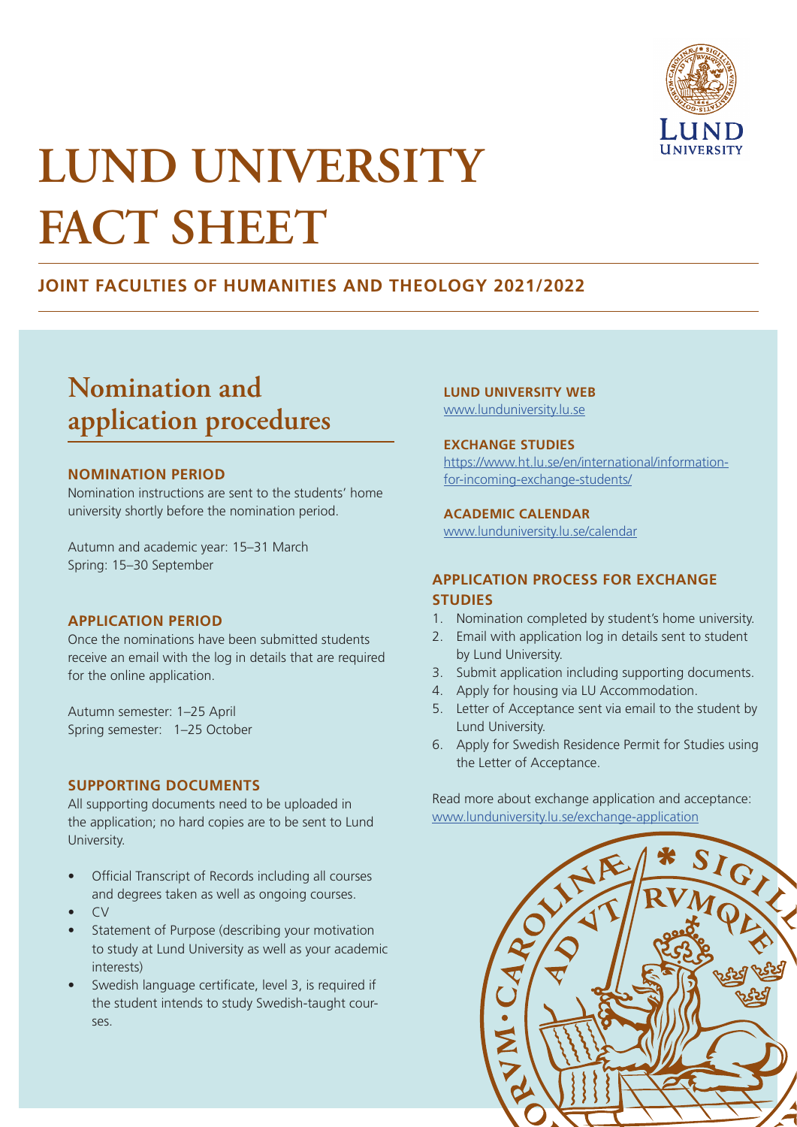

# **LUND UNIVERSITY FACT SHEET**

# **JOINT FACULTIES OF HUMANITIES AND THEOLOGY 2021/2022**

# **Nomination and application procedures**

#### **NOMINATION PERIOD**

Nomination instructions are sent to the students' home university shortly before the nomination period.

Autumn and academic year: 15–31 March Spring: 15–30 September

#### **APPLICATION PERIOD**

Once the nominations have been submitted students receive an email with the log in details that are required for the online application.

Autumn semester: 1–25 April Spring semester: 1–25 October

### **SUPPORTING DOCUMENTS**

All supporting documents need to be uploaded in the application; no hard copies are to be sent to Lund University.

- Official Transcript of Records including all courses and degrees taken as well as ongoing courses.
- CV
- Statement of Purpose (describing your motivation to study at Lund University as well as your academic interests)
- Swedish language certificate, level 3, is required if the student intends to study Swedish-taught courses.

#### **LUND UNIVERSITY WEB**

[www.lunduniversity.lu.se](http://www.lunduniversity.lu.se)

#### **EXCHANGE STUDIES**

https://www.ht.lu.se/en/international/informationfor-incoming-exchange-students[/](https://www.ht.lu.se/en/international/information-for-incoming-exchange-students/ )

#### **ACADEMIC CALENDAR**

www.lunduniversity.lu.se/calendar

### **APPLICATION PROCESS FOR EXCHANGE STUDIES**

- 1. Nomination completed by student's home university.
- 2. Email with application log in details sent to student by Lund University.
- 3. Submit application including supporting documents.
- 4. Apply for housing via LU Accommodation.
- 5. Letter of Acceptance sent via email to the student by Lund University.
- 6. Apply for Swedish Residence Permit for Studies using the Letter of Acceptance.

Read more about exchange application and acceptance: [www.lunduniversity.lu.se/exchange-application](http://www.lunduniversity.lu.se/exchange-application)

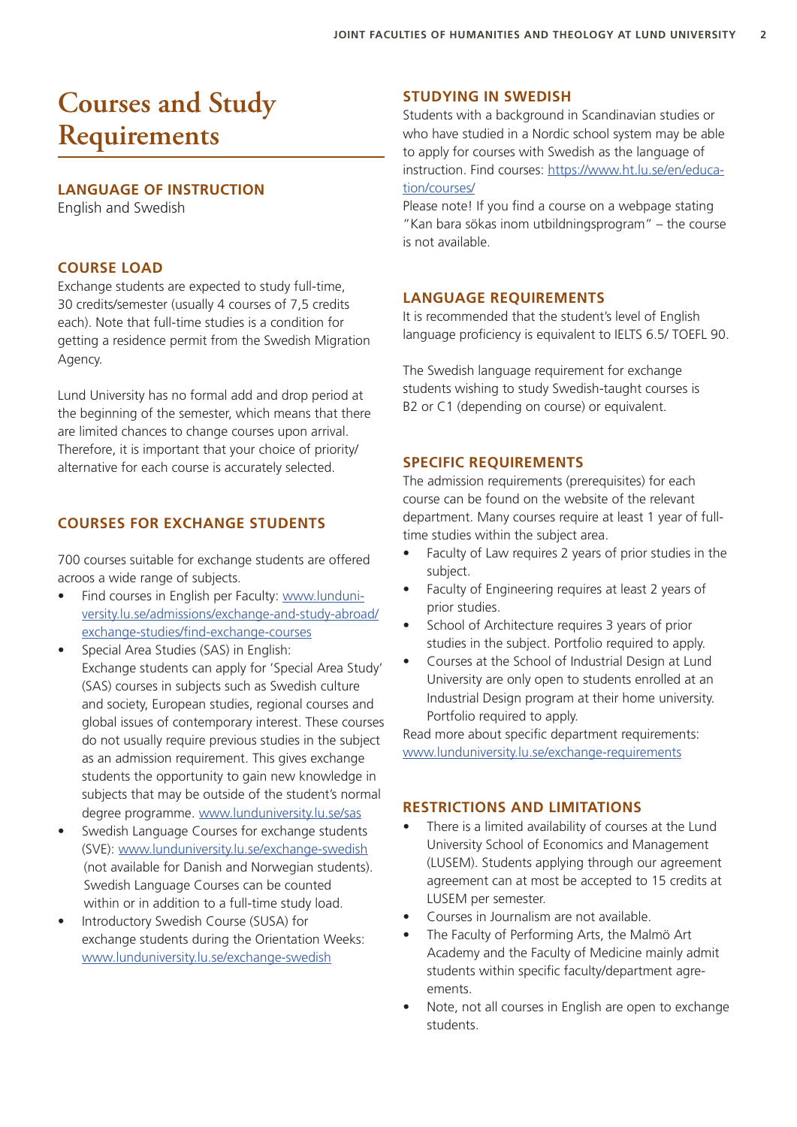# **Courses and Study Requirements**

### **LANGUAGE OF INSTRUCTION**

English and Swedish

### **COURSE LOAD**

Exchange students are expected to study full-time, 30 credits/semester (usually 4 courses of 7,5 credits each). Note that full-time studies is a condition for getting a residence permit from the Swedish Migration Agency.

Lund University has no formal add and drop period at the beginning of the semester, which means that there are limited chances to change courses upon arrival. Therefore, it is important that your choice of priority/ alternative for each course is accurately selected.

### **COURSES FOR EXCHANGE STUDENTS**

700 courses suitable for exchange students are offered acroos a wide range of subjects.

- Find courses in English per Faculty: [www.lunduni](https://www.lunduniversity.lu.se/admissions/exchange-and-study-abroad/exchange-studies/find-exchange-courses)[versity.lu.se/admissions/exchange-and-study-abroad/](https://www.lunduniversity.lu.se/admissions/exchange-and-study-abroad/exchange-studies/find-exchange-courses) [exchange-studies/find-exchange-courses](https://www.lunduniversity.lu.se/admissions/exchange-and-study-abroad/exchange-studies/find-exchange-courses)
- Special Area Studies (SAS) in English: Exchange students can apply for 'Special Area Study' (SAS) courses in subjects such as Swedish culture and society, European studies, regional courses and global issues of contemporary interest. These courses do not usually require previous studies in the subject as an admission requirement. This gives exchange students the opportunity to gain new knowledge in subjects that may be outside of the student's normal degree programme. [www.lunduniversity.lu.se/sas](http://www.lunduniversity.lu.se/sas)
- Swedish Language Courses for exchange students (SVE): [www.lunduniversity.lu.se/exchange-swedish](http://www.lunduniversity.lu.se/exchange-swedish) (not available for Danish and Norwegian students). Swedish Language Courses can be counted within or in addition to a full-time study load.
- Introductory Swedish Course (SUSA) for exchange students during the Orientation Weeks: [www.lunduniversity.lu.se/exchange-swedish](http://www.lunduniversity.lu.se/exchange-swedish)

### **STUDYING IN SWEDISH**

Students with a background in Scandinavian studies or who have studied in a Nordic school system may be able to apply for courses with Swedish as the language of instruction. Find courses: [https://www.ht.lu.se/en/educa](https://www.ht.lu.se/en/education/courses/)[tion/courses/](https://www.ht.lu.se/en/education/courses/)

Please note! If you find a course on a webpage stating "Kan bara sökas inom utbildningsprogram" – the course is not available.

### **LANGUAGE REQUIREMENTS**

It is recommended that the student's level of English language proficiency is equivalent to IELTS 6.5/ TOEFL 90.

The Swedish language requirement for exchange students wishing to study Swedish-taught courses is B2 or C1 (depending on course) or equivalent.

### **SPECIFIC REQUIREMENTS**

The admission requirements (prerequisites) for each course can be found on the website of the relevant department. Many courses require at least 1 year of fulltime studies within the subject area.

- Faculty of Law requires 2 years of prior studies in the subject.
- Faculty of Engineering requires at least 2 years of prior studies.
- School of Architecture requires 3 years of prior studies in the subject. Portfolio required to apply.
- Courses at the School of Industrial Design at Lund University are only open to students enrolled at an Industrial Design program at their home university. Portfolio required to apply.

Read more about specific department requirements: [www.lunduniversity.lu.se/exchange-requirements](http://www.lunduniversity.lu.se/exchange-requirements)

### **RESTRICTIONS AND LIMITATIONS**

- There is a limited availability of courses at the Lund University School of Economics and Management (LUSEM). Students applying through our agreement agreement can at most be accepted to 15 credits at LUSEM per semester.
- Courses in Journalism are not available.
- The Faculty of Performing Arts, the Malmö Art Academy and the Faculty of Medicine mainly admit students within specific faculty/department agreements.
- Note, not all courses in English are open to exchange students.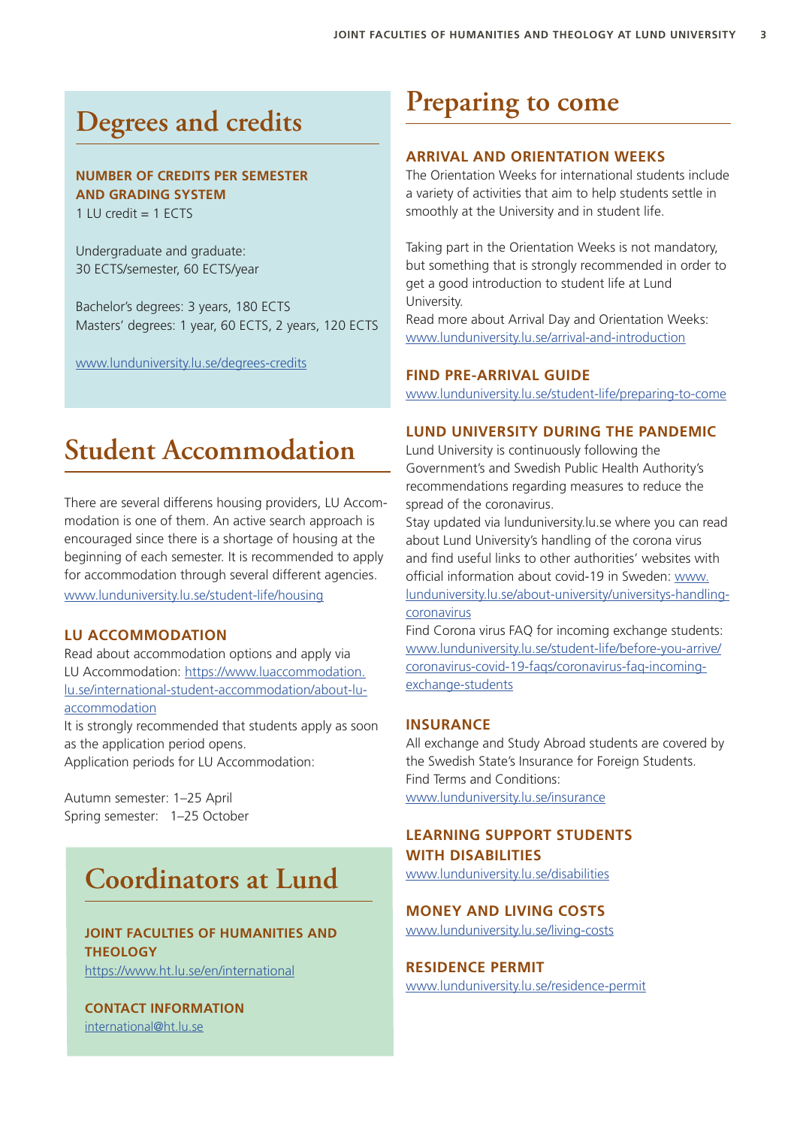# **Degrees and credits**

### **NUMBER OF CREDITS PER SEMESTER AND GRADING SYSTEM**

1 LU credit  $= 1$  ECTS

Undergraduate and graduate: 30 ECTS/semester, 60 ECTS/year

Bachelor's degrees: 3 years, 180 ECTS Masters' degrees: 1 year, 60 ECTS, 2 years, 120 ECTS

[www.lunduniversity.lu.se/degrees-credits](http://www.lunduniversity.lu.se/degrees-credits)

# **Student Accommodation**

There are several differens housing providers, LU Accommodation is one of them. An active search approach is encouraged since there is a shortage of housing at the beginning of each semester. It is recommended to apply for accommodation through several different agencies. [www.lunduniversity.lu.se/student-life/housing](http://www.lunduniversity.lu.se/student-life/housing)

### **LU ACCOMMODATION**

Read about accommodation options and apply via LU Accommodation: https://www.luaccommodation. lu.se/international-student-accommodation/about-luaccommodation

It is strongly recommended that students apply as soon as the application period opens. Application periods for LU Accommodation:

Autumn semester: 1–25 April Spring semester: 1–25 October

# **Coordinators at Lund**

## **JOINT FACULTIES OF HUMANITIES AND THEOLOGY**

https://www.ht.lu.se/en/international

**CONTACT INFORMATION** [international@ht.lu.se](mailto:international%40ht.lu.se?subject=)

# **Preparing to come**

### **ARRIVAL AND ORIENTATION WEEKS**

The Orientation Weeks for international students include a variety of activities that aim to help students settle in smoothly at the University and in student life.

Taking part in the Orientation Weeks is not mandatory, but something that is strongly recommended in order to get a good introduction to student life at Lund University.

Read more about Arrival Day and Orientation Weeks: [www.lunduniversity.lu.se/arrival-and-introduction](http://www.lunduniversity.lu.se/arrival-and-introduction)

#### **FIND PRE-ARRIVAL GUIDE**

[www.lunduniversity.lu.se/student-life/preparing-to-come](http://www.lunduniversity.lu.se/student-life/preparing-to-come)

### **LUND UNIVERSITY DURING THE PANDEMIC**

Lund University is continuously following the Government's and Swedish Public Health Authority's recommendations regarding measures to reduce the spread of the coronavirus.

Stay updated via lunduniversity.lu.se where you can read about Lund University's handling of the corona virus and find useful links to other authorities' websites with official information about covid-19 in Sweden: [www.](https://www.lunduniversity.lu.se/about-university/universitys-handling-coronavirus) [lunduniversity.lu.se/about-university/universitys-handling](https://www.lunduniversity.lu.se/about-university/universitys-handling-coronavirus)[coronavirus](https://www.lunduniversity.lu.se/about-university/universitys-handling-coronavirus)

Find Corona virus FAQ for incoming exchange students: ww[w.lunduniversity.lu.se/student-life/before-you-arrive/](https://www.lunduniversity.lu.se/student-life/before-you-arrive/coronavirus-covid-19-faqs/coronavirus-faq-incoming-exchange-students) [coronavirus-covid-19-faqs/coronavirus-faq-incoming](https://www.lunduniversity.lu.se/student-life/before-you-arrive/coronavirus-covid-19-faqs/coronavirus-faq-incoming-exchange-students)[exchange-students](https://www.lunduniversity.lu.se/student-life/before-you-arrive/coronavirus-covid-19-faqs/coronavirus-faq-incoming-exchange-students)

### **INSURANCE**

All exchange and Study Abroad students are covered by the Swedish State's Insurance for Foreign Students. Find Terms and Conditions: [www.lunduniversity.lu.se/insurance](http://www.lunduniversity.lu.se/insurance)

# **LEARNING SUPPORT STUDENTS**

**WITH DISABILITIES**

[www.lunduniversity.lu.se/disabilities](http://www.lunduniversity.lu.se/disabilities)

### **MONEY AND LIVING COSTS**

[www.lunduniversity.lu.se/living-costs](http://www.lunduniversity.lu.se/living-costs)

#### **RESIDENCE PERMIT**

[www.lunduniversity.lu.se/residence-permit](http://www.lunduniversity.lu.se/residence-permit)